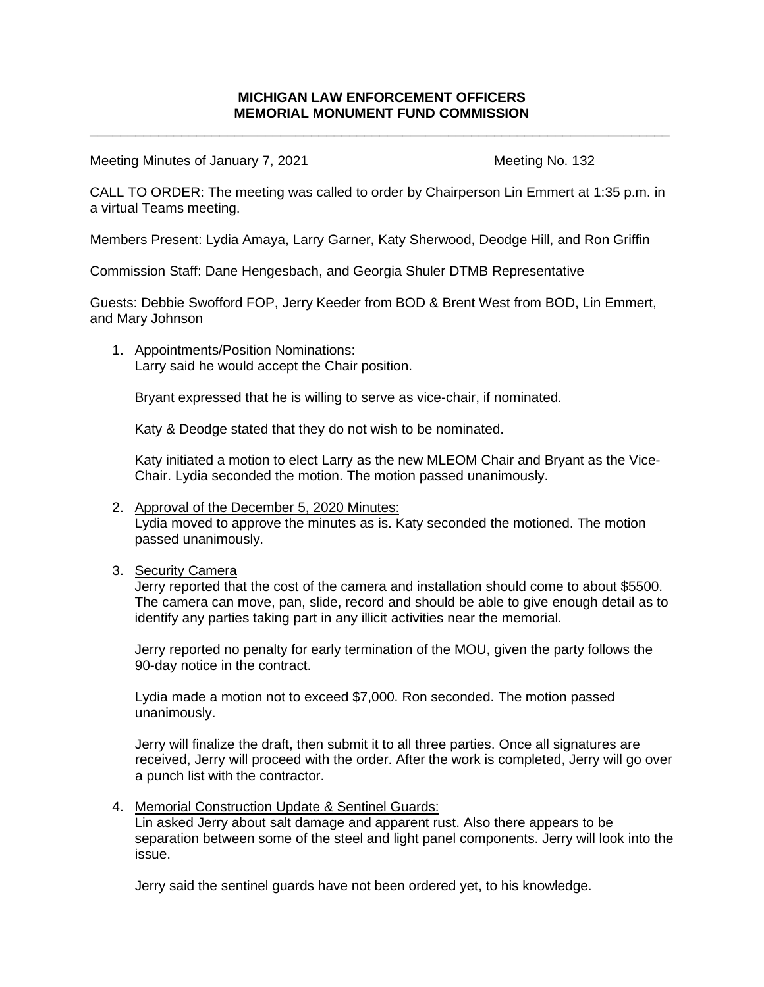\_\_\_\_\_\_\_\_\_\_\_\_\_\_\_\_\_\_\_\_\_\_\_\_\_\_\_\_\_\_\_\_\_\_\_\_\_\_\_\_\_\_\_\_\_\_\_\_\_\_\_\_\_\_\_\_\_\_\_\_\_\_\_\_\_\_\_\_\_\_\_\_\_\_\_\_

Meeting Minutes of January 7, 2021 Meeting No. 132

CALL TO ORDER: The meeting was called to order by Chairperson Lin Emmert at 1:35 p.m. in a virtual Teams meeting.

Members Present: Lydia Amaya, Larry Garner, Katy Sherwood, Deodge Hill, and Ron Griffin

Commission Staff: Dane Hengesbach, and Georgia Shuler DTMB Representative

Guests: Debbie Swofford FOP, Jerry Keeder from BOD & Brent West from BOD, Lin Emmert, and Mary Johnson

1. Appointments/Position Nominations: Larry said he would accept the Chair position.

Bryant expressed that he is willing to serve as vice-chair, if nominated.

Katy & Deodge stated that they do not wish to be nominated.

Katy initiated a motion to elect Larry as the new MLEOM Chair and Bryant as the Vice-Chair. Lydia seconded the motion. The motion passed unanimously.

- 2. Approval of the December 5, 2020 Minutes: Lydia moved to approve the minutes as is. Katy seconded the motioned. The motion passed unanimously.
- 3. Security Camera

Jerry reported that the cost of the camera and installation should come to about \$5500. The camera can move, pan, slide, record and should be able to give enough detail as to identify any parties taking part in any illicit activities near the memorial.

Jerry reported no penalty for early termination of the MOU, given the party follows the 90-day notice in the contract.

Lydia made a motion not to exceed \$7,000. Ron seconded. The motion passed unanimously.

Jerry will finalize the draft, then submit it to all three parties. Once all signatures are received, Jerry will proceed with the order. After the work is completed, Jerry will go over a punch list with the contractor.

4. Memorial Construction Update & Sentinel Guards:

Lin asked Jerry about salt damage and apparent rust. Also there appears to be separation between some of the steel and light panel components. Jerry will look into the issue.

Jerry said the sentinel guards have not been ordered yet, to his knowledge.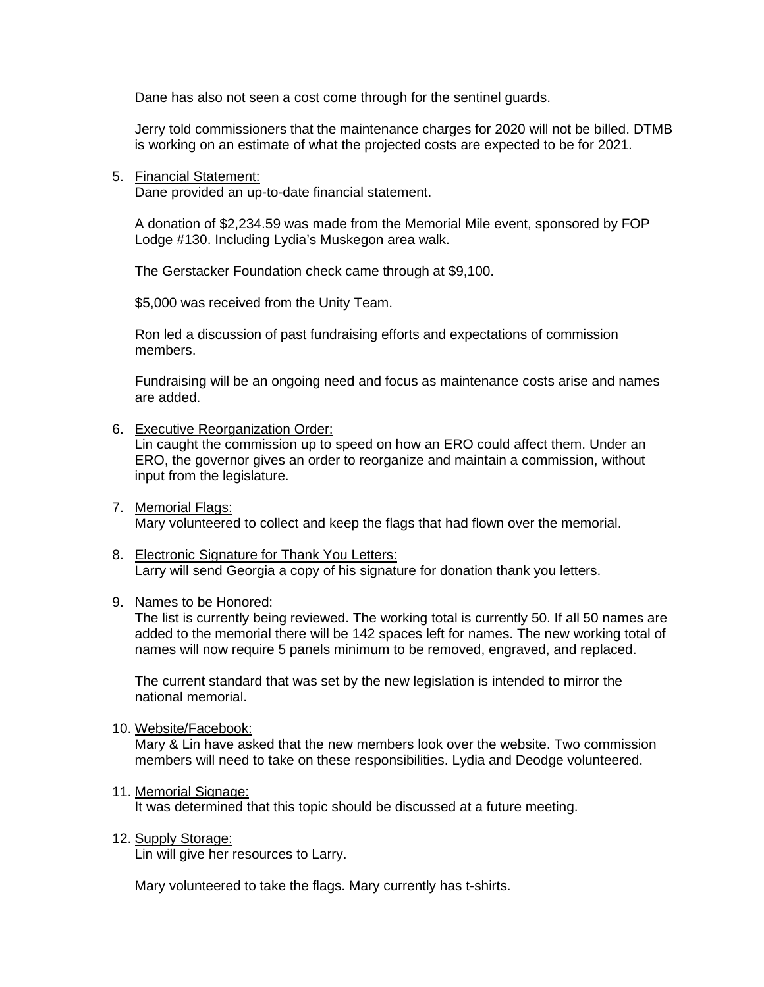Dane has also not seen a cost come through for the sentinel guards.

Jerry told commissioners that the maintenance charges for 2020 will not be billed. DTMB is working on an estimate of what the projected costs are expected to be for 2021.

5. Financial Statement:

Dane provided an up-to-date financial statement.

A donation of \$2,234.59 was made from the Memorial Mile event, sponsored by FOP Lodge #130. Including Lydia's Muskegon area walk.

The Gerstacker Foundation check came through at \$9,100.

\$5,000 was received from the Unity Team.

Ron led a discussion of past fundraising efforts and expectations of commission members.

Fundraising will be an ongoing need and focus as maintenance costs arise and names are added.

6. Executive Reorganization Order:

Lin caught the commission up to speed on how an ERO could affect them. Under an ERO, the governor gives an order to reorganize and maintain a commission, without input from the legislature.

- 7. Memorial Flags: Mary volunteered to collect and keep the flags that had flown over the memorial.
- 8. Electronic Signature for Thank You Letters: Larry will send Georgia a copy of his signature for donation thank you letters.
- 9. Names to be Honored:

The list is currently being reviewed. The working total is currently 50. If all 50 names are added to the memorial there will be 142 spaces left for names. The new working total of names will now require 5 panels minimum to be removed, engraved, and replaced.

The current standard that was set by the new legislation is intended to mirror the national memorial.

10. Website/Facebook:

Mary & Lin have asked that the new members look over the website. Two commission members will need to take on these responsibilities. Lydia and Deodge volunteered.

11. Memorial Signage:

It was determined that this topic should be discussed at a future meeting.

12. Supply Storage:

Lin will give her resources to Larry.

Mary volunteered to take the flags. Mary currently has t-shirts.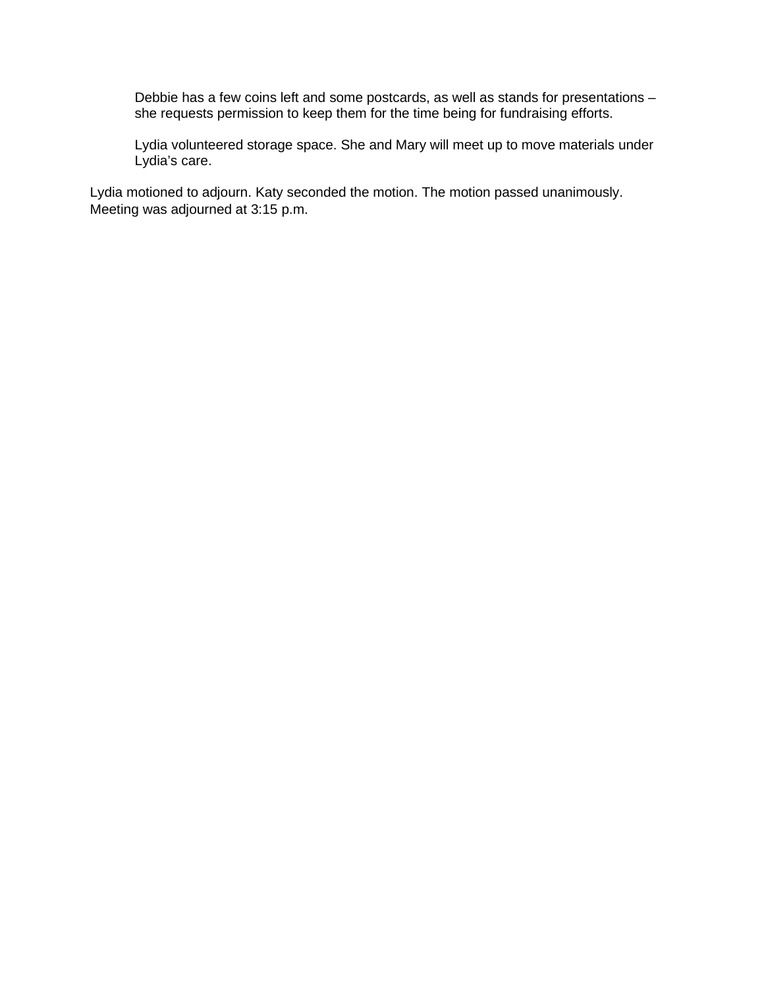Debbie has a few coins left and some postcards, as well as stands for presentations – she requests permission to keep them for the time being for fundraising efforts.

Lydia volunteered storage space. She and Mary will meet up to move materials under Lydia's care.

Lydia motioned to adjourn. Katy seconded the motion. The motion passed unanimously. Meeting was adjourned at 3:15 p.m.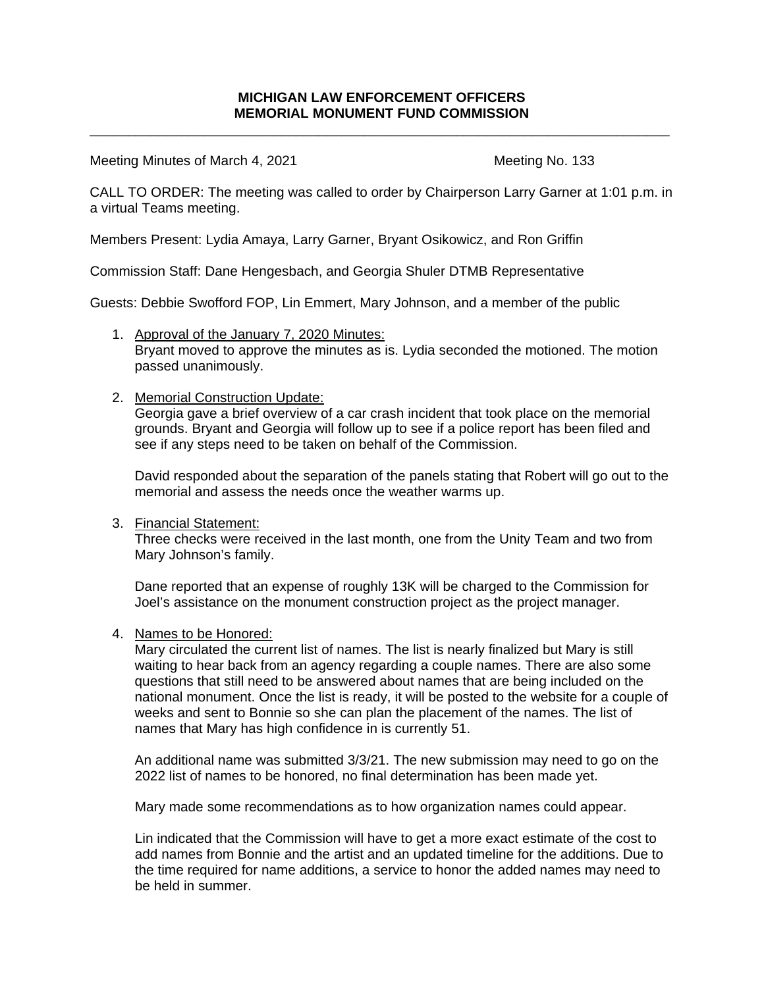\_\_\_\_\_\_\_\_\_\_\_\_\_\_\_\_\_\_\_\_\_\_\_\_\_\_\_\_\_\_\_\_\_\_\_\_\_\_\_\_\_\_\_\_\_\_\_\_\_\_\_\_\_\_\_\_\_\_\_\_\_\_\_\_\_\_\_\_\_\_\_\_\_\_\_\_

Meeting Minutes of March 4, 2021 Meeting No. 133

CALL TO ORDER: The meeting was called to order by Chairperson Larry Garner at 1:01 p.m. in a virtual Teams meeting.

Members Present: Lydia Amaya, Larry Garner, Bryant Osikowicz, and Ron Griffin

Commission Staff: Dane Hengesbach, and Georgia Shuler DTMB Representative

Guests: Debbie Swofford FOP, Lin Emmert, Mary Johnson, and a member of the public

1. Approval of the January 7, 2020 Minutes: Bryant moved to approve the minutes as is. Lydia seconded the motioned. The motion passed unanimously.

### 2. Memorial Construction Update:

Georgia gave a brief overview of a car crash incident that took place on the memorial grounds. Bryant and Georgia will follow up to see if a police report has been filed and see if any steps need to be taken on behalf of the Commission.

David responded about the separation of the panels stating that Robert will go out to the memorial and assess the needs once the weather warms up.

### 3. Financial Statement:

Three checks were received in the last month, one from the Unity Team and two from Mary Johnson's family.

Dane reported that an expense of roughly 13K will be charged to the Commission for Joel's assistance on the monument construction project as the project manager.

#### 4. Names to be Honored:

Mary circulated the current list of names. The list is nearly finalized but Mary is still waiting to hear back from an agency regarding a couple names. There are also some questions that still need to be answered about names that are being included on the national monument. Once the list is ready, it will be posted to the website for a couple of weeks and sent to Bonnie so she can plan the placement of the names. The list of names that Mary has high confidence in is currently 51.

An additional name was submitted 3/3/21. The new submission may need to go on the 2022 list of names to be honored, no final determination has been made yet.

Mary made some recommendations as to how organization names could appear.

Lin indicated that the Commission will have to get a more exact estimate of the cost to add names from Bonnie and the artist and an updated timeline for the additions. Due to the time required for name additions, a service to honor the added names may need to be held in summer.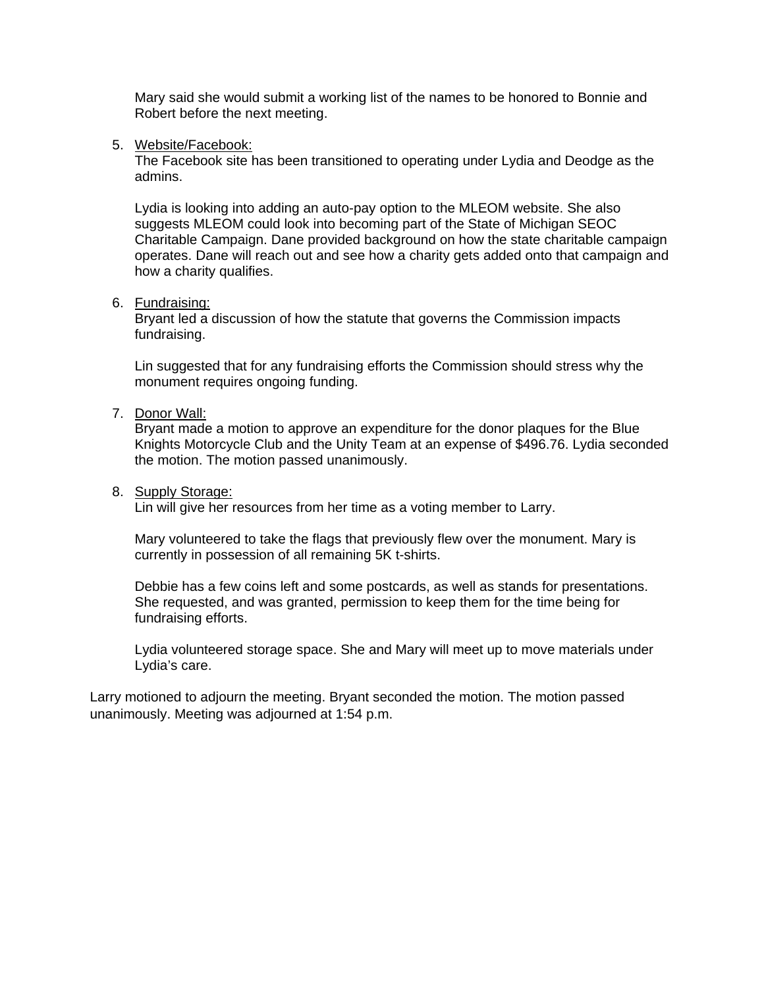Mary said she would submit a working list of the names to be honored to Bonnie and Robert before the next meeting.

#### 5. Website/Facebook:

The Facebook site has been transitioned to operating under Lydia and Deodge as the admins.

Lydia is looking into adding an auto-pay option to the MLEOM website. She also suggests MLEOM could look into becoming part of the State of Michigan SEOC Charitable Campaign. Dane provided background on how the state charitable campaign operates. Dane will reach out and see how a charity gets added onto that campaign and how a charity qualifies.

#### 6. Fundraising:

Bryant led a discussion of how the statute that governs the Commission impacts fundraising.

Lin suggested that for any fundraising efforts the Commission should stress why the monument requires ongoing funding.

#### 7. Donor Wall:

Bryant made a motion to approve an expenditure for the donor plaques for the Blue Knights Motorcycle Club and the Unity Team at an expense of \$496.76. Lydia seconded the motion. The motion passed unanimously.

#### 8. Supply Storage:

Lin will give her resources from her time as a voting member to Larry.

Mary volunteered to take the flags that previously flew over the monument. Mary is currently in possession of all remaining 5K t-shirts.

Debbie has a few coins left and some postcards, as well as stands for presentations. She requested, and was granted, permission to keep them for the time being for fundraising efforts.

Lydia volunteered storage space. She and Mary will meet up to move materials under Lydia's care.

Larry motioned to adjourn the meeting. Bryant seconded the motion. The motion passed unanimously. Meeting was adjourned at 1:54 p.m.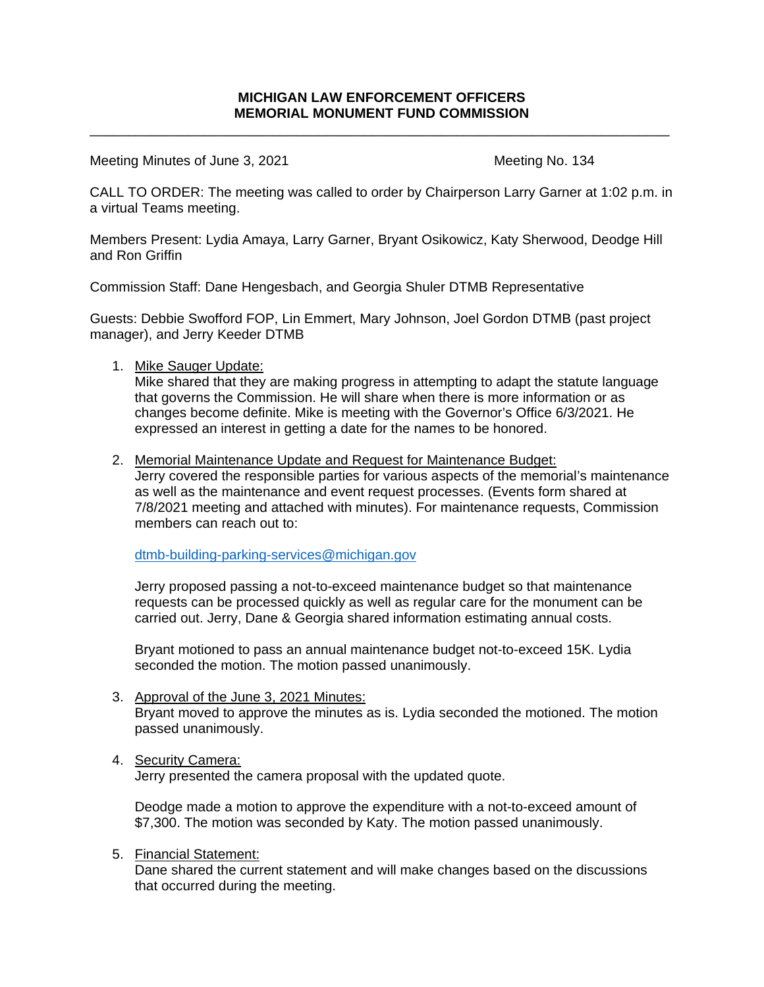\_\_\_\_\_\_\_\_\_\_\_\_\_\_\_\_\_\_\_\_\_\_\_\_\_\_\_\_\_\_\_\_\_\_\_\_\_\_\_\_\_\_\_\_\_\_\_\_\_\_\_\_\_\_\_\_\_\_\_\_\_\_\_\_\_\_\_\_\_\_\_\_\_\_\_\_

Meeting Minutes of June 3, 2021 Meeting No. 134

CALL TO ORDER: The meeting was called to order by Chairperson Larry Garner at 1:02 p.m. in a virtual Teams meeting.

Members Present: Lydia Amaya, Larry Garner, Bryant Osikowicz, Katy Sherwood, Deodge Hill and Ron Griffin

Commission Staff: Dane Hengesbach, and Georgia Shuler DTMB Representative

Guests: Debbie Swofford FOP, Lin Emmert, Mary Johnson, Joel Gordon DTMB (past project manager), and Jerry Keeder DTMB

1. Mike Sauger Update:

Mike shared that they are making progress in attempting to adapt the statute language that governs the Commission. He will share when there is more information or as changes become definite. Mike is meeting with the Governor's Office 6/3/2021. He expressed an interest in getting a date for the names to be honored.

2. Memorial Maintenance Update and Request for Maintenance Budget:

Jerry covered the responsible parties for various aspects of the memorial's maintenance as well as the maintenance and event request processes. (Events form shared at 7/8/2021 meeting and attached with minutes). For maintenance requests, Commission members can reach out to:

[dtmb-building-parking-services@michigan.gov](mailto:dtmb-building-parking-services@michigan.gov)

Jerry proposed passing a not-to-exceed maintenance budget so that maintenance requests can be processed quickly as well as regular care for the monument can be carried out. Jerry, Dane & Georgia shared information estimating annual costs.

Bryant motioned to pass an annual maintenance budget not-to-exceed 15K. Lydia seconded the motion. The motion passed unanimously.

3. Approval of the June 3, 2021 Minutes: Bryant moved to approve the minutes as is. Lydia seconded the motioned. The motion passed unanimously.

### 4. Security Camera:

Jerry presented the camera proposal with the updated quote.

Deodge made a motion to approve the expenditure with a not-to-exceed amount of \$7,300. The motion was seconded by Katy. The motion passed unanimously.

### 5. Financial Statement:

Dane shared the current statement and will make changes based on the discussions that occurred during the meeting.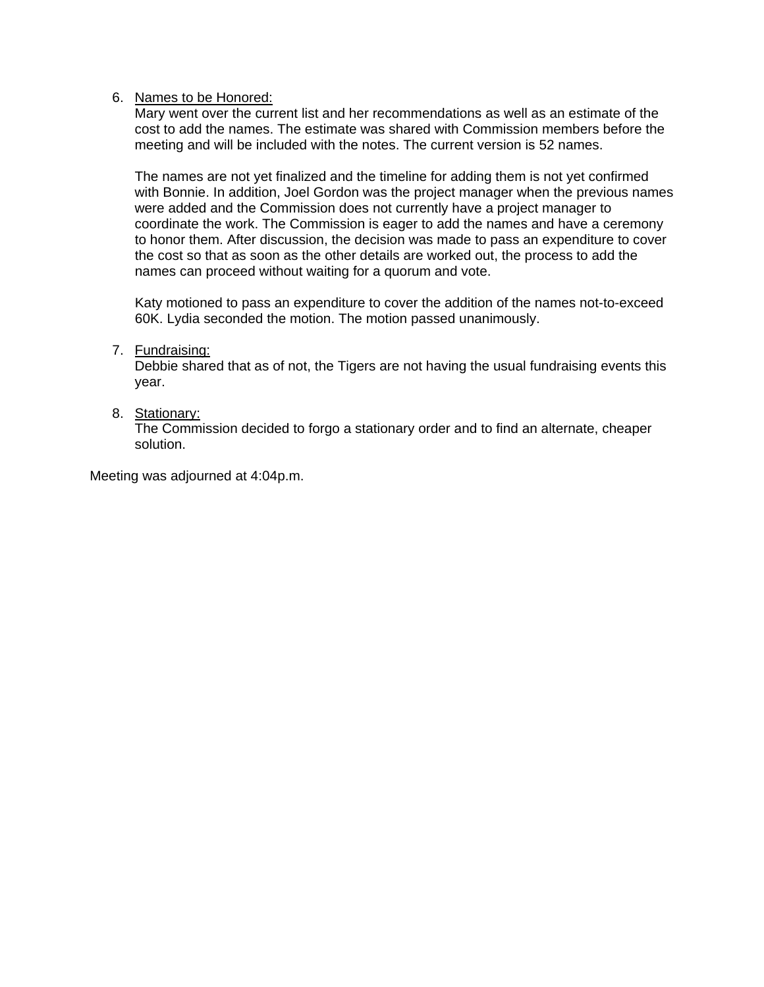### 6. Names to be Honored:

Mary went over the current list and her recommendations as well as an estimate of the cost to add the names. The estimate was shared with Commission members before the meeting and will be included with the notes. The current version is 52 names.

The names are not yet finalized and the timeline for adding them is not yet confirmed with Bonnie. In addition, Joel Gordon was the project manager when the previous names were added and the Commission does not currently have a project manager to coordinate the work. The Commission is eager to add the names and have a ceremony to honor them. After discussion, the decision was made to pass an expenditure to cover the cost so that as soon as the other details are worked out, the process to add the names can proceed without waiting for a quorum and vote.

Katy motioned to pass an expenditure to cover the addition of the names not-to-exceed 60K. Lydia seconded the motion. The motion passed unanimously.

### 7. Fundraising:

Debbie shared that as of not, the Tigers are not having the usual fundraising events this year.

### 8. Stationary:

The Commission decided to forgo a stationary order and to find an alternate, cheaper solution.

Meeting was adjourned at 4:04p.m.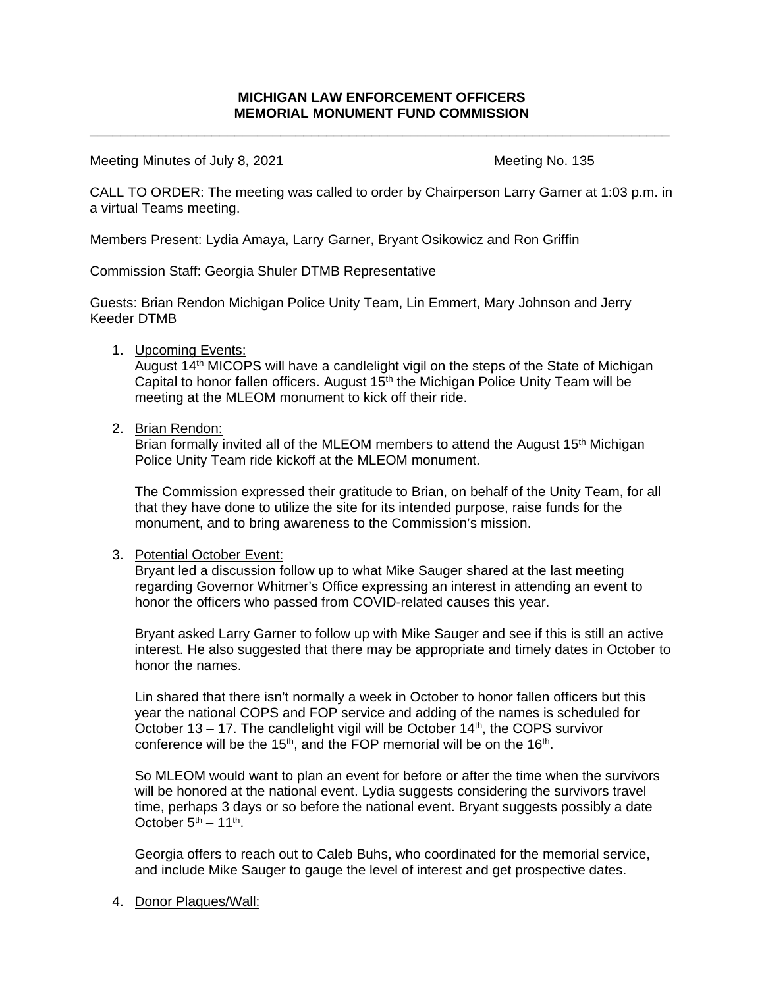\_\_\_\_\_\_\_\_\_\_\_\_\_\_\_\_\_\_\_\_\_\_\_\_\_\_\_\_\_\_\_\_\_\_\_\_\_\_\_\_\_\_\_\_\_\_\_\_\_\_\_\_\_\_\_\_\_\_\_\_\_\_\_\_\_\_\_\_\_\_\_\_\_\_\_\_

Meeting Minutes of July 8, 2021 Meeting No. 135

CALL TO ORDER: The meeting was called to order by Chairperson Larry Garner at 1:03 p.m. in a virtual Teams meeting.

Members Present: Lydia Amaya, Larry Garner, Bryant Osikowicz and Ron Griffin

Commission Staff: Georgia Shuler DTMB Representative

Guests: Brian Rendon Michigan Police Unity Team, Lin Emmert, Mary Johnson and Jerry Keeder DTMB

1. Upcoming Events:

August 14th MICOPS will have a candlelight vigil on the steps of the State of Michigan Capital to honor fallen officers. August  $15<sup>th</sup>$  the Michigan Police Unity Team will be meeting at the MLEOM monument to kick off their ride.

2. Brian Rendon:

Brian formally invited all of the MLEOM members to attend the August 15<sup>th</sup> Michigan Police Unity Team ride kickoff at the MLEOM monument.

The Commission expressed their gratitude to Brian, on behalf of the Unity Team, for all that they have done to utilize the site for its intended purpose, raise funds for the monument, and to bring awareness to the Commission's mission.

### 3. Potential October Event:

Bryant led a discussion follow up to what Mike Sauger shared at the last meeting regarding Governor Whitmer's Office expressing an interest in attending an event to honor the officers who passed from COVID-related causes this year.

Bryant asked Larry Garner to follow up with Mike Sauger and see if this is still an active interest. He also suggested that there may be appropriate and timely dates in October to honor the names.

Lin shared that there isn't normally a week in October to honor fallen officers but this year the national COPS and FOP service and adding of the names is scheduled for October 13 – 17. The candlelight vigil will be October  $14<sup>th</sup>$ , the COPS survivor conference will be the 15<sup>th</sup>, and the FOP memorial will be on the 16<sup>th</sup>.

So MLEOM would want to plan an event for before or after the time when the survivors will be honored at the national event. Lydia suggests considering the survivors travel time, perhaps 3 days or so before the national event. Bryant suggests possibly a date October  $5<sup>th</sup> - 11<sup>th</sup>$ .

Georgia offers to reach out to Caleb Buhs, who coordinated for the memorial service, and include Mike Sauger to gauge the level of interest and get prospective dates.

4. Donor Plaques/Wall: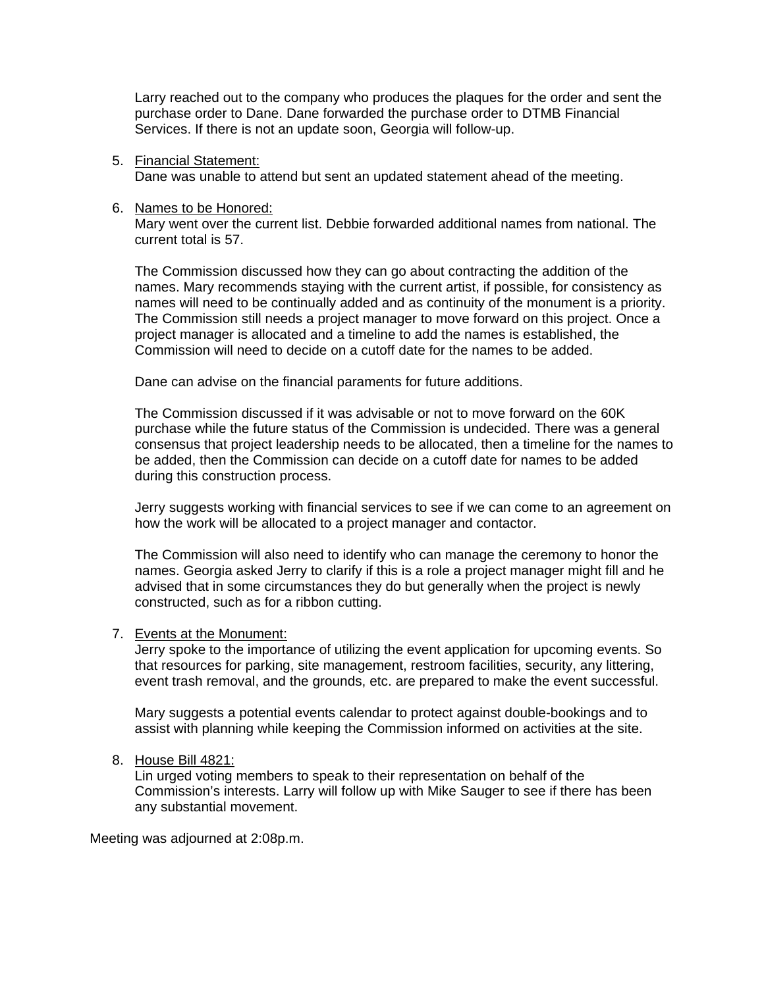Larry reached out to the company who produces the plaques for the order and sent the purchase order to Dane. Dane forwarded the purchase order to DTMB Financial Services. If there is not an update soon, Georgia will follow-up.

5. Financial Statement:

Dane was unable to attend but sent an updated statement ahead of the meeting.

6. Names to be Honored:

Mary went over the current list. Debbie forwarded additional names from national. The current total is 57.

The Commission discussed how they can go about contracting the addition of the names. Mary recommends staying with the current artist, if possible, for consistency as names will need to be continually added and as continuity of the monument is a priority. The Commission still needs a project manager to move forward on this project. Once a project manager is allocated and a timeline to add the names is established, the Commission will need to decide on a cutoff date for the names to be added.

Dane can advise on the financial paraments for future additions.

The Commission discussed if it was advisable or not to move forward on the 60K purchase while the future status of the Commission is undecided. There was a general consensus that project leadership needs to be allocated, then a timeline for the names to be added, then the Commission can decide on a cutoff date for names to be added during this construction process.

Jerry suggests working with financial services to see if we can come to an agreement on how the work will be allocated to a project manager and contactor.

The Commission will also need to identify who can manage the ceremony to honor the names. Georgia asked Jerry to clarify if this is a role a project manager might fill and he advised that in some circumstances they do but generally when the project is newly constructed, such as for a ribbon cutting.

## 7. Events at the Monument:

Jerry spoke to the importance of utilizing the event application for upcoming events. So that resources for parking, site management, restroom facilities, security, any littering, event trash removal, and the grounds, etc. are prepared to make the event successful.

Mary suggests a potential events calendar to protect against double-bookings and to assist with planning while keeping the Commission informed on activities at the site.

## 8. House Bill 4821:

Lin urged voting members to speak to their representation on behalf of the Commission's interests. Larry will follow up with Mike Sauger to see if there has been any substantial movement.

Meeting was adjourned at 2:08p.m.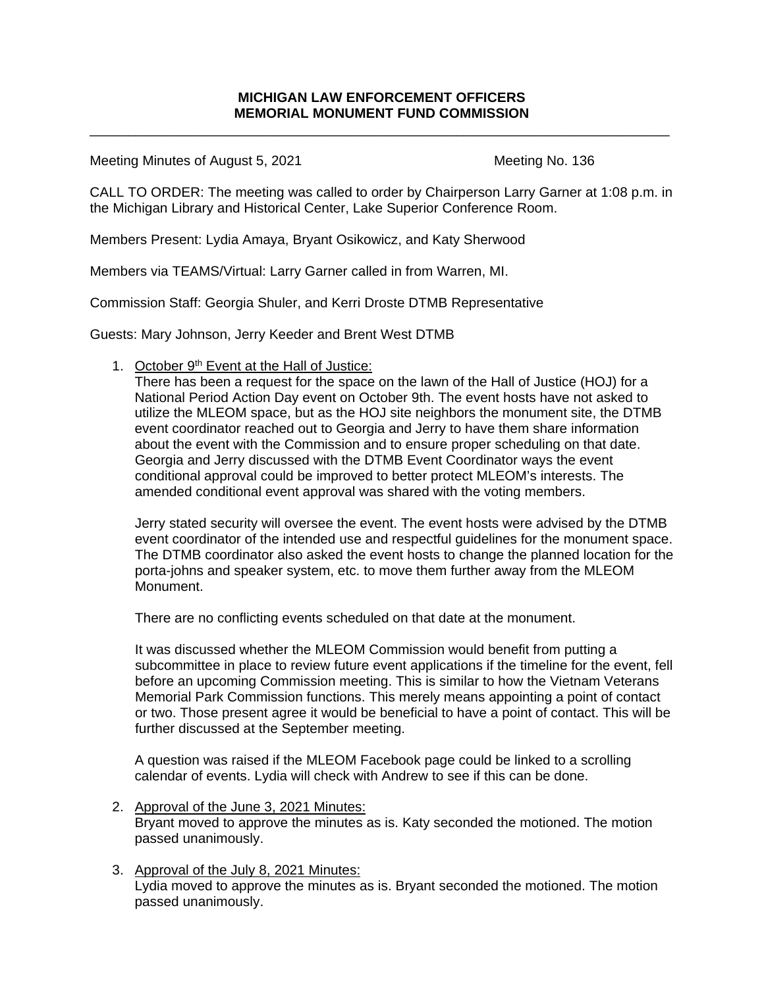\_\_\_\_\_\_\_\_\_\_\_\_\_\_\_\_\_\_\_\_\_\_\_\_\_\_\_\_\_\_\_\_\_\_\_\_\_\_\_\_\_\_\_\_\_\_\_\_\_\_\_\_\_\_\_\_\_\_\_\_\_\_\_\_\_\_\_\_\_\_\_\_\_\_\_\_

Meeting Minutes of August 5, 2021 Meeting No. 136

CALL TO ORDER: The meeting was called to order by Chairperson Larry Garner at 1:08 p.m. in the Michigan Library and Historical Center, Lake Superior Conference Room.

Members Present: Lydia Amaya, Bryant Osikowicz, and Katy Sherwood

Members via TEAMS/Virtual: Larry Garner called in from Warren, MI.

Commission Staff: Georgia Shuler, and Kerri Droste DTMB Representative

Guests: Mary Johnson, Jerry Keeder and Brent West DTMB

1. October 9<sup>th</sup> Event at the Hall of Justice:

There has been a request for the space on the lawn of the Hall of Justice (HOJ) for a National Period Action Day event on October 9th. The event hosts have not asked to utilize the MLEOM space, but as the HOJ site neighbors the monument site, the DTMB event coordinator reached out to Georgia and Jerry to have them share information about the event with the Commission and to ensure proper scheduling on that date. Georgia and Jerry discussed with the DTMB Event Coordinator ways the event conditional approval could be improved to better protect MLEOM's interests. The amended conditional event approval was shared with the voting members.

Jerry stated security will oversee the event. The event hosts were advised by the DTMB event coordinator of the intended use and respectful guidelines for the monument space. The DTMB coordinator also asked the event hosts to change the planned location for the porta-johns and speaker system, etc. to move them further away from the MLEOM Monument.

There are no conflicting events scheduled on that date at the monument.

It was discussed whether the MLEOM Commission would benefit from putting a subcommittee in place to review future event applications if the timeline for the event, fell before an upcoming Commission meeting. This is similar to how the Vietnam Veterans Memorial Park Commission functions. This merely means appointing a point of contact or two. Those present agree it would be beneficial to have a point of contact. This will be further discussed at the September meeting.

A question was raised if the MLEOM Facebook page could be linked to a scrolling calendar of events. Lydia will check with Andrew to see if this can be done.

- 2. Approval of the June 3, 2021 Minutes: Bryant moved to approve the minutes as is. Katy seconded the motioned. The motion passed unanimously.
- 3. Approval of the July 8, 2021 Minutes:

Lydia moved to approve the minutes as is. Bryant seconded the motioned. The motion passed unanimously.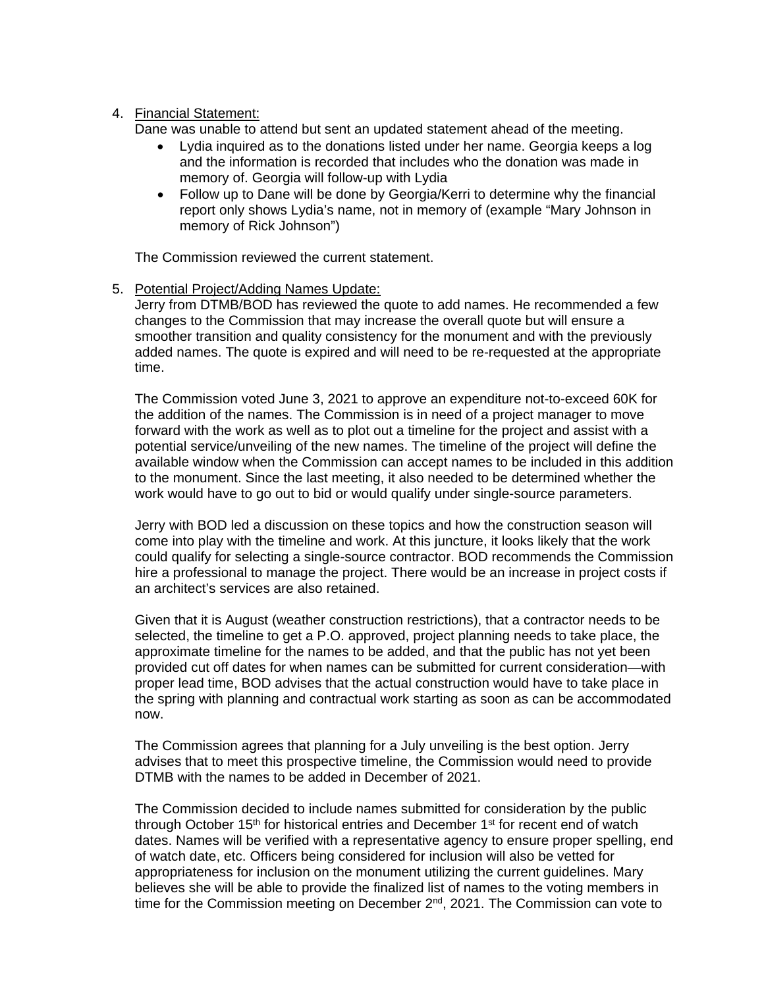### 4. Financial Statement:

Dane was unable to attend but sent an updated statement ahead of the meeting.

- Lydia inquired as to the donations listed under her name. Georgia keeps a log and the information is recorded that includes who the donation was made in memory of. Georgia will follow-up with Lydia
- Follow up to Dane will be done by Georgia/Kerri to determine why the financial report only shows Lydia's name, not in memory of (example "Mary Johnson in memory of Rick Johnson")

The Commission reviewed the current statement.

### 5. Potential Project/Adding Names Update:

Jerry from DTMB/BOD has reviewed the quote to add names. He recommended a few changes to the Commission that may increase the overall quote but will ensure a smoother transition and quality consistency for the monument and with the previously added names. The quote is expired and will need to be re-requested at the appropriate time.

The Commission voted June 3, 2021 to approve an expenditure not-to-exceed 60K for the addition of the names. The Commission is in need of a project manager to move forward with the work as well as to plot out a timeline for the project and assist with a potential service/unveiling of the new names. The timeline of the project will define the available window when the Commission can accept names to be included in this addition to the monument. Since the last meeting, it also needed to be determined whether the work would have to go out to bid or would qualify under single-source parameters.

Jerry with BOD led a discussion on these topics and how the construction season will come into play with the timeline and work. At this juncture, it looks likely that the work could qualify for selecting a single-source contractor. BOD recommends the Commission hire a professional to manage the project. There would be an increase in project costs if an architect's services are also retained.

Given that it is August (weather construction restrictions), that a contractor needs to be selected, the timeline to get a P.O. approved, project planning needs to take place, the approximate timeline for the names to be added, and that the public has not yet been provided cut off dates for when names can be submitted for current consideration—with proper lead time, BOD advises that the actual construction would have to take place in the spring with planning and contractual work starting as soon as can be accommodated now.

The Commission agrees that planning for a July unveiling is the best option. Jerry advises that to meet this prospective timeline, the Commission would need to provide DTMB with the names to be added in December of 2021.

The Commission decided to include names submitted for consideration by the public through October 15<sup>th</sup> for historical entries and December 1<sup>st</sup> for recent end of watch dates. Names will be verified with a representative agency to ensure proper spelling, end of watch date, etc. Officers being considered for inclusion will also be vetted for appropriateness for inclusion on the monument utilizing the current guidelines. Mary believes she will be able to provide the finalized list of names to the voting members in time for the Commission meeting on December 2<sup>nd</sup>, 2021. The Commission can vote to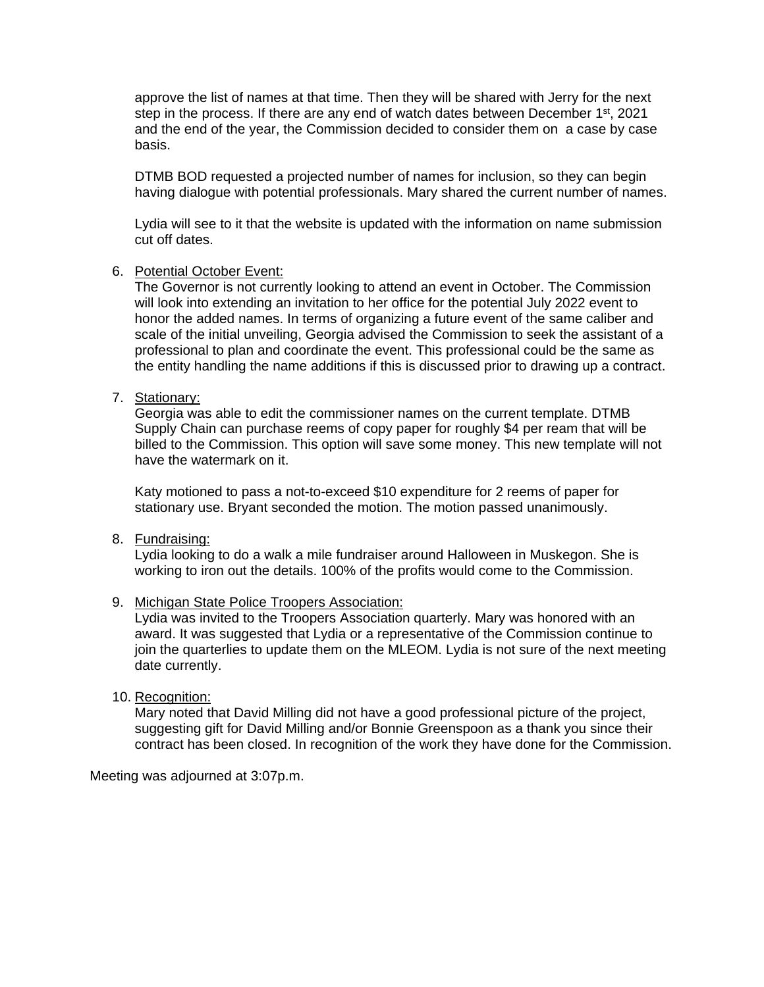approve the list of names at that time. Then they will be shared with Jerry for the next step in the process. If there are any end of watch dates between December 1<sup>st</sup>, 2021 and the end of the year, the Commission decided to consider them on a case by case basis.

DTMB BOD requested a projected number of names for inclusion, so they can begin having dialogue with potential professionals. Mary shared the current number of names.

Lydia will see to it that the website is updated with the information on name submission cut off dates.

#### 6. Potential October Event:

The Governor is not currently looking to attend an event in October. The Commission will look into extending an invitation to her office for the potential July 2022 event to honor the added names. In terms of organizing a future event of the same caliber and scale of the initial unveiling, Georgia advised the Commission to seek the assistant of a professional to plan and coordinate the event. This professional could be the same as the entity handling the name additions if this is discussed prior to drawing up a contract.

#### 7. Stationary:

Georgia was able to edit the commissioner names on the current template. DTMB Supply Chain can purchase reems of copy paper for roughly \$4 per ream that will be billed to the Commission. This option will save some money. This new template will not have the watermark on it.

Katy motioned to pass a not-to-exceed \$10 expenditure for 2 reems of paper for stationary use. Bryant seconded the motion. The motion passed unanimously.

8. Fundraising:

Lydia looking to do a walk a mile fundraiser around Halloween in Muskegon. She is working to iron out the details. 100% of the profits would come to the Commission.

#### 9. Michigan State Police Troopers Association:

Lydia was invited to the Troopers Association quarterly. Mary was honored with an award. It was suggested that Lydia or a representative of the Commission continue to join the quarterlies to update them on the MLEOM. Lydia is not sure of the next meeting date currently.

#### 10. Recognition:

Mary noted that David Milling did not have a good professional picture of the project, suggesting gift for David Milling and/or Bonnie Greenspoon as a thank you since their contract has been closed. In recognition of the work they have done for the Commission.

Meeting was adjourned at 3:07p.m.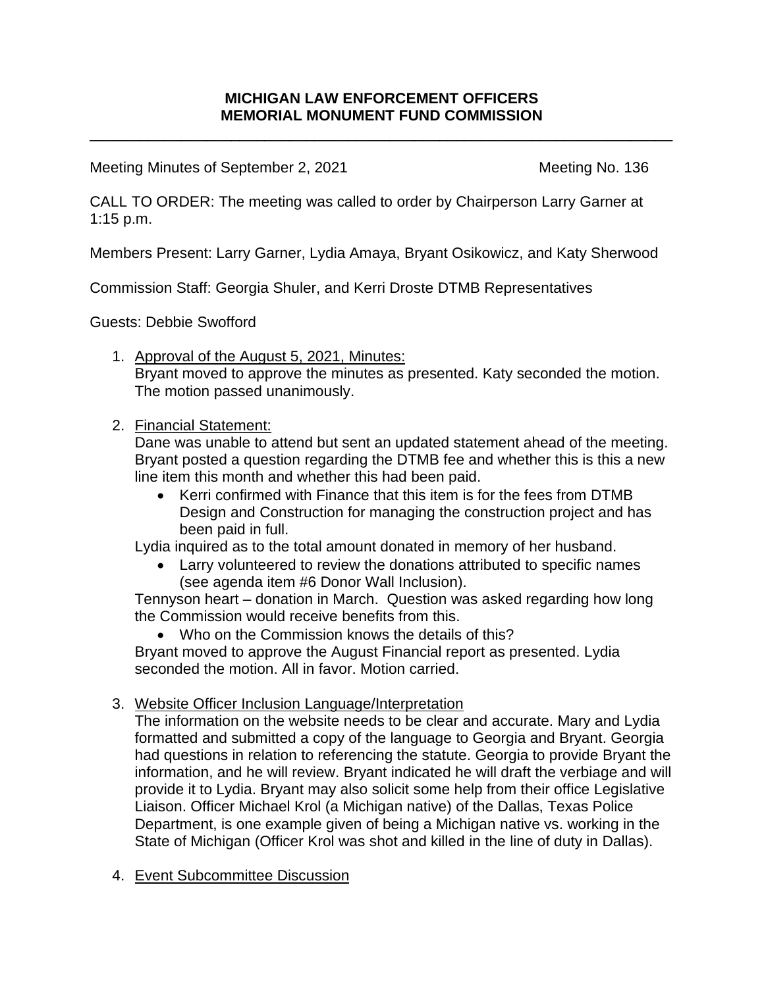\_\_\_\_\_\_\_\_\_\_\_\_\_\_\_\_\_\_\_\_\_\_\_\_\_\_\_\_\_\_\_\_\_\_\_\_\_\_\_\_\_\_\_\_\_\_\_\_\_\_\_\_\_\_\_\_\_\_\_\_\_\_\_\_\_\_\_\_\_\_

Meeting Minutes of September 2, 2021 Meeting No. 136

CALL TO ORDER: The meeting was called to order by Chairperson Larry Garner at 1:15 p.m.

Members Present: Larry Garner, Lydia Amaya, Bryant Osikowicz, and Katy Sherwood

Commission Staff: Georgia Shuler, and Kerri Droste DTMB Representatives

Guests: Debbie Swofford

1. Approval of the August 5, 2021, Minutes: Bryant moved to approve the minutes as presented. Katy seconded the motion. The motion passed unanimously.

# 2. Financial Statement:

Dane was unable to attend but sent an updated statement ahead of the meeting. Bryant posted a question regarding the DTMB fee and whether this is this a new line item this month and whether this had been paid.

• Kerri confirmed with Finance that this item is for the fees from DTMB Design and Construction for managing the construction project and has been paid in full.

Lydia inquired as to the total amount donated in memory of her husband.

• Larry volunteered to review the donations attributed to specific names (see agenda item #6 Donor Wall Inclusion).

Tennyson heart – donation in March. Question was asked regarding how long the Commission would receive benefits from this.

• Who on the Commission knows the details of this? Bryant moved to approve the August Financial report as presented. Lydia seconded the motion. All in favor. Motion carried.

# 3. Website Officer Inclusion Language/Interpretation

The information on the website needs to be clear and accurate. Mary and Lydia formatted and submitted a copy of the language to Georgia and Bryant. Georgia had questions in relation to referencing the statute. Georgia to provide Bryant the information, and he will review. Bryant indicated he will draft the verbiage and will provide it to Lydia. Bryant may also solicit some help from their office Legislative Liaison. Officer Michael Krol (a Michigan native) of the Dallas, Texas Police Department, is one example given of being a Michigan native vs. working in the State of Michigan (Officer Krol was shot and killed in the line of duty in Dallas).

4. Event Subcommittee Discussion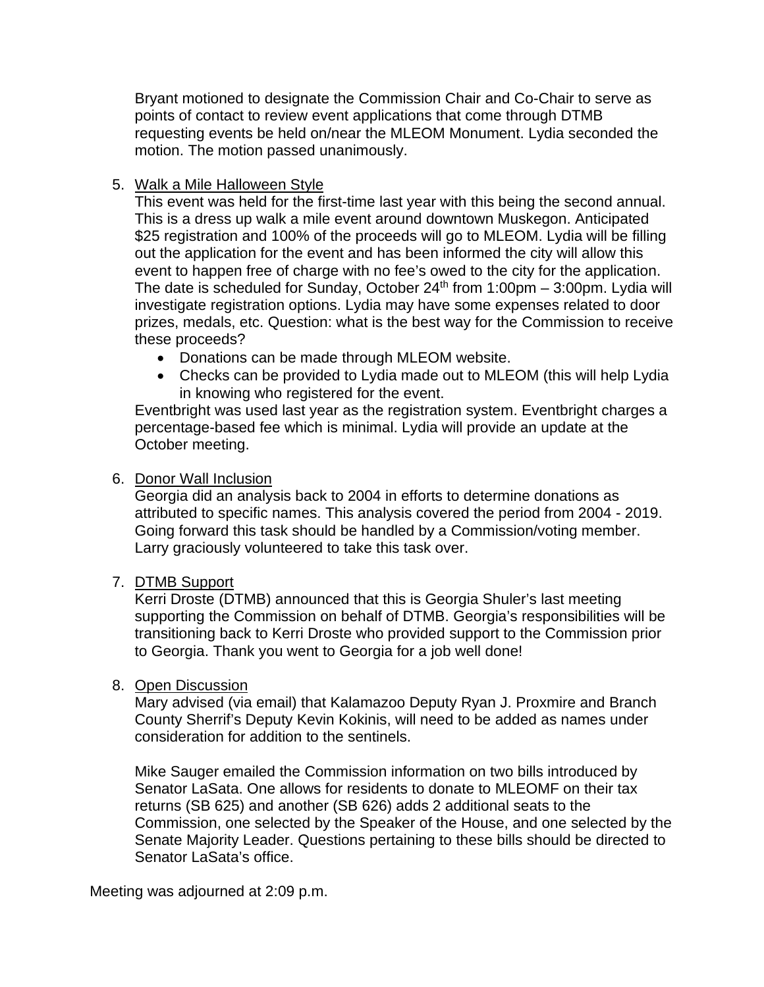Bryant motioned to designate the Commission Chair and Co-Chair to serve as points of contact to review event applications that come through DTMB requesting events be held on/near the MLEOM Monument. Lydia seconded the motion. The motion passed unanimously.

# 5. Walk a Mile Halloween Style

This event was held for the first-time last year with this being the second annual. This is a dress up walk a mile event around downtown Muskegon. Anticipated \$25 registration and 100% of the proceeds will go to MLEOM. Lydia will be filling out the application for the event and has been informed the city will allow this event to happen free of charge with no fee's owed to the city for the application. The date is scheduled for Sunday, October  $24<sup>th</sup>$  from 1:00pm – 3:00pm. Lydia will investigate registration options. Lydia may have some expenses related to door prizes, medals, etc. Question: what is the best way for the Commission to receive these proceeds?

- Donations can be made through MLEOM website.
- Checks can be provided to Lydia made out to MLEOM (this will help Lydia in knowing who registered for the event.

Eventbright was used last year as the registration system. Eventbright charges a percentage-based fee which is minimal. Lydia will provide an update at the October meeting.

# 6. Donor Wall Inclusion

Georgia did an analysis back to 2004 in efforts to determine donations as attributed to specific names. This analysis covered the period from 2004 - 2019. Going forward this task should be handled by a Commission/voting member. Larry graciously volunteered to take this task over.

# 7. DTMB Support

Kerri Droste (DTMB) announced that this is Georgia Shuler's last meeting supporting the Commission on behalf of DTMB. Georgia's responsibilities will be transitioning back to Kerri Droste who provided support to the Commission prior to Georgia. Thank you went to Georgia for a job well done!

# 8. Open Discussion

Mary advised (via email) that Kalamazoo Deputy Ryan J. Proxmire and Branch County Sherrif's Deputy Kevin Kokinis, will need to be added as names under consideration for addition to the sentinels.

Mike Sauger emailed the Commission information on two bills introduced by Senator LaSata. One allows for residents to donate to MLEOMF on their tax returns (SB 625) and another (SB 626) adds 2 additional seats to the Commission, one selected by the Speaker of the House, and one selected by the Senate Majority Leader. Questions pertaining to these bills should be directed to Senator LaSata's office.

# Meeting was adjourned at 2:09 p.m.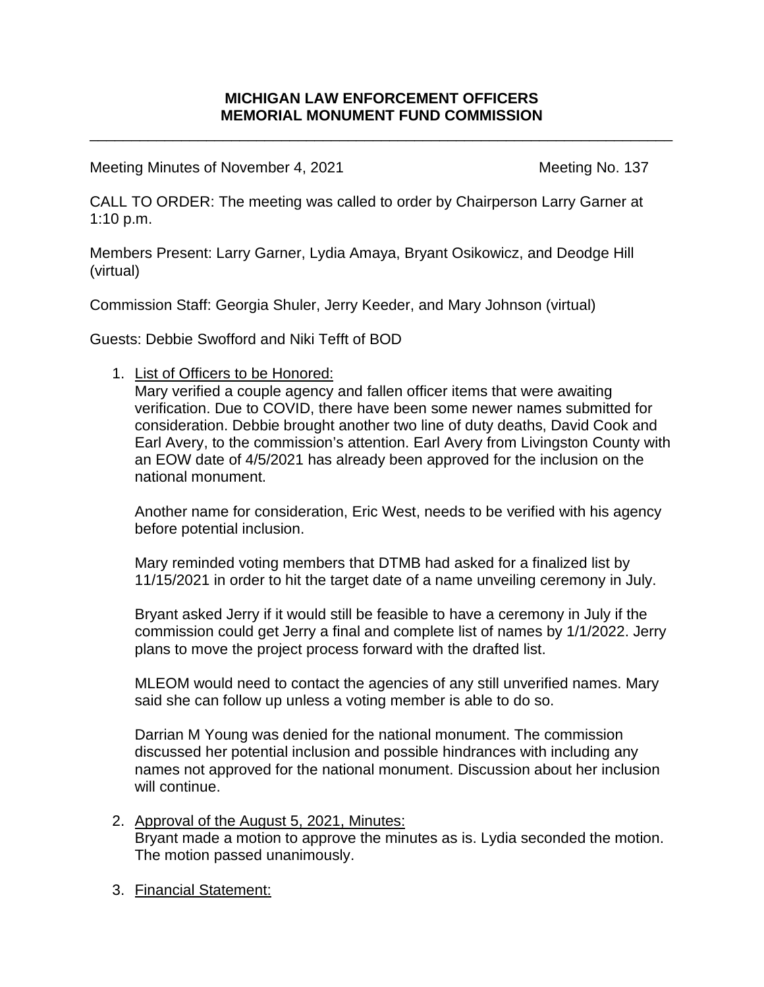\_\_\_\_\_\_\_\_\_\_\_\_\_\_\_\_\_\_\_\_\_\_\_\_\_\_\_\_\_\_\_\_\_\_\_\_\_\_\_\_\_\_\_\_\_\_\_\_\_\_\_\_\_\_\_\_\_\_\_\_\_\_\_\_\_\_\_\_\_\_

Meeting Minutes of November 4, 2021 Meeting No. 137

CALL TO ORDER: The meeting was called to order by Chairperson Larry Garner at 1:10 p.m.

Members Present: Larry Garner, Lydia Amaya, Bryant Osikowicz, and Deodge Hill (virtual)

Commission Staff: Georgia Shuler, Jerry Keeder, and Mary Johnson (virtual)

Guests: Debbie Swofford and Niki Tefft of BOD

1. List of Officers to be Honored:

Mary verified a couple agency and fallen officer items that were awaiting verification. Due to COVID, there have been some newer names submitted for consideration. Debbie brought another two line of duty deaths, David Cook and Earl Avery, to the commission's attention. Earl Avery from Livingston County with an EOW date of 4/5/2021 has already been approved for the inclusion on the national monument.

Another name for consideration, Eric West, needs to be verified with his agency before potential inclusion.

Mary reminded voting members that DTMB had asked for a finalized list by 11/15/2021 in order to hit the target date of a name unveiling ceremony in July.

Bryant asked Jerry if it would still be feasible to have a ceremony in July if the commission could get Jerry a final and complete list of names by 1/1/2022. Jerry plans to move the project process forward with the drafted list.

MLEOM would need to contact the agencies of any still unverified names. Mary said she can follow up unless a voting member is able to do so.

Darrian M Young was denied for the national monument. The commission discussed her potential inclusion and possible hindrances with including any names not approved for the national monument. Discussion about her inclusion will continue.

- 2. Approval of the August 5, 2021, Minutes: Bryant made a motion to approve the minutes as is. Lydia seconded the motion. The motion passed unanimously.
- 3. Financial Statement: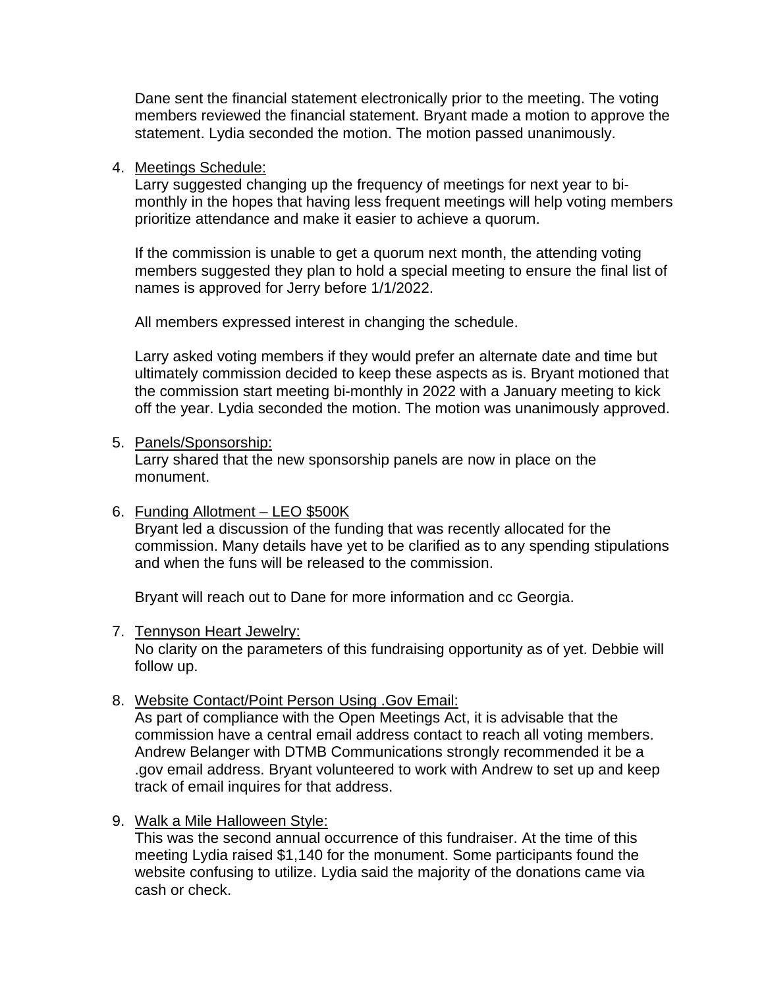Dane sent the financial statement electronically prior to the meeting. The voting members reviewed the financial statement. Bryant made a motion to approve the statement. Lydia seconded the motion. The motion passed unanimously.

## 4. Meetings Schedule:

Larry suggested changing up the frequency of meetings for next year to bimonthly in the hopes that having less frequent meetings will help voting members prioritize attendance and make it easier to achieve a quorum.

If the commission is unable to get a quorum next month, the attending voting members suggested they plan to hold a special meeting to ensure the final list of names is approved for Jerry before 1/1/2022.

All members expressed interest in changing the schedule.

Larry asked voting members if they would prefer an alternate date and time but ultimately commission decided to keep these aspects as is. Bryant motioned that the commission start meeting bi-monthly in 2022 with a January meeting to kick off the year. Lydia seconded the motion. The motion was unanimously approved.

## 5. Panels/Sponsorship:

Larry shared that the new sponsorship panels are now in place on the monument.

# 6. Funding Allotment – LEO \$500K

Bryant led a discussion of the funding that was recently allocated for the commission. Many details have yet to be clarified as to any spending stipulations and when the funs will be released to the commission.

Bryant will reach out to Dane for more information and cc Georgia.

## 7. Tennyson Heart Jewelry:

No clarity on the parameters of this fundraising opportunity as of yet. Debbie will follow up.

8. Website Contact/Point Person Using .Gov Email:

As part of compliance with the Open Meetings Act, it is advisable that the commission have a central email address contact to reach all voting members. Andrew Belanger with DTMB Communications strongly recommended it be a .gov email address. Bryant volunteered to work with Andrew to set up and keep track of email inquires for that address.

# 9. Walk a Mile Halloween Style:

This was the second annual occurrence of this fundraiser. At the time of this meeting Lydia raised \$1,140 for the monument. Some participants found the website confusing to utilize. Lydia said the majority of the donations came via cash or check.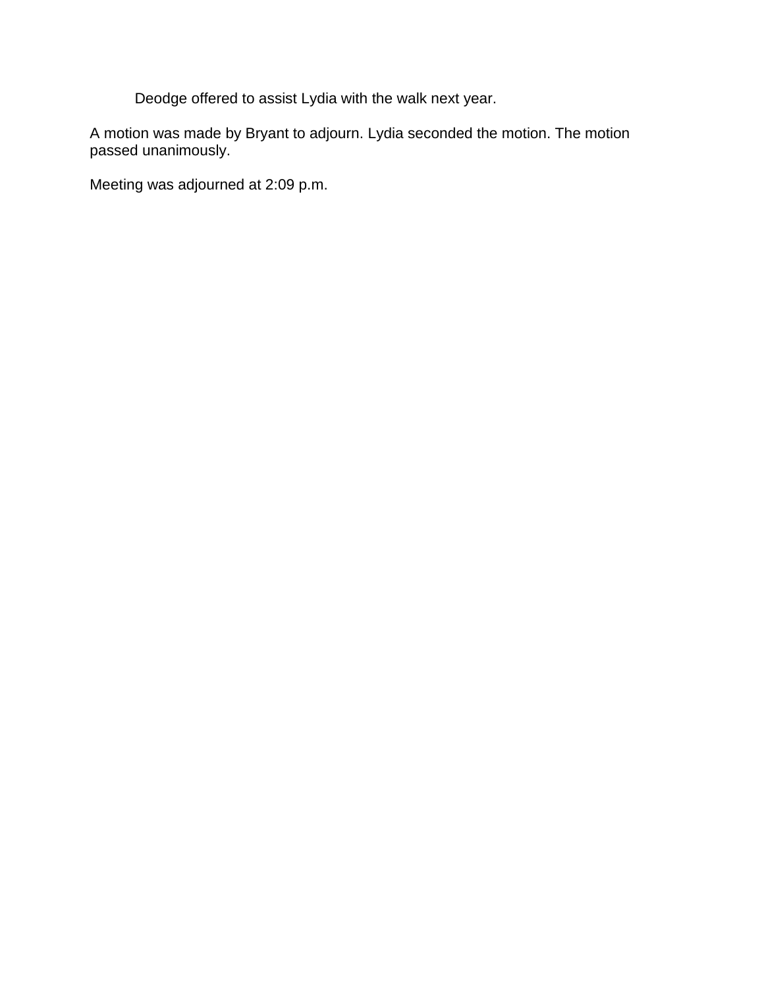Deodge offered to assist Lydia with the walk next year.

A motion was made by Bryant to adjourn. Lydia seconded the motion. The motion passed unanimously.

Meeting was adjourned at 2:09 p.m.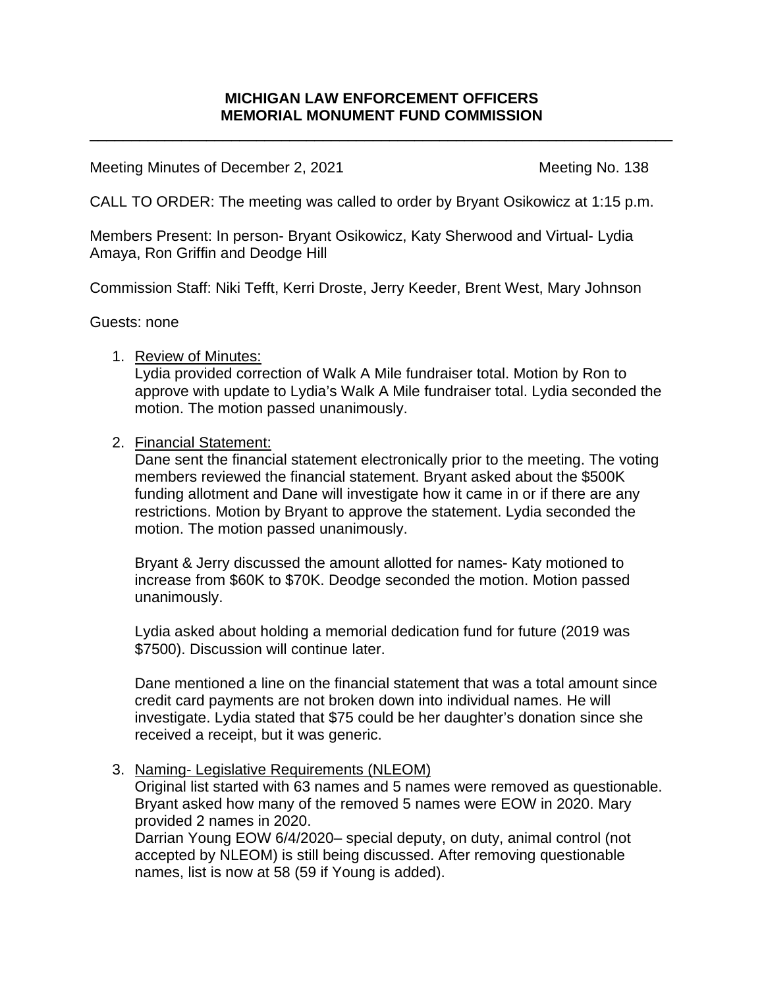\_\_\_\_\_\_\_\_\_\_\_\_\_\_\_\_\_\_\_\_\_\_\_\_\_\_\_\_\_\_\_\_\_\_\_\_\_\_\_\_\_\_\_\_\_\_\_\_\_\_\_\_\_\_\_\_\_\_\_\_\_\_\_\_\_\_\_\_\_\_

Meeting Minutes of December 2, 2021 Meeting No. 138

CALL TO ORDER: The meeting was called to order by Bryant Osikowicz at 1:15 p.m.

Members Present: In person- Bryant Osikowicz, Katy Sherwood and Virtual- Lydia Amaya, Ron Griffin and Deodge Hill

Commission Staff: Niki Tefft, Kerri Droste, Jerry Keeder, Brent West, Mary Johnson

Guests: none

# 1. Review of Minutes:

Lydia provided correction of Walk A Mile fundraiser total. Motion by Ron to approve with update to Lydia's Walk A Mile fundraiser total. Lydia seconded the motion. The motion passed unanimously.

# 2. Financial Statement:

Dane sent the financial statement electronically prior to the meeting. The voting members reviewed the financial statement. Bryant asked about the \$500K funding allotment and Dane will investigate how it came in or if there are any restrictions. Motion by Bryant to approve the statement. Lydia seconded the motion. The motion passed unanimously.

Bryant & Jerry discussed the amount allotted for names- Katy motioned to increase from \$60K to \$70K. Deodge seconded the motion. Motion passed unanimously.

Lydia asked about holding a memorial dedication fund for future (2019 was \$7500). Discussion will continue later.

Dane mentioned a line on the financial statement that was a total amount since credit card payments are not broken down into individual names. He will investigate. Lydia stated that \$75 could be her daughter's donation since she received a receipt, but it was generic.

# 3. Naming- Legislative Requirements (NLEOM)

Original list started with 63 names and 5 names were removed as questionable. Bryant asked how many of the removed 5 names were EOW in 2020. Mary provided 2 names in 2020.

Darrian Young EOW 6/4/2020– special deputy, on duty, animal control (not accepted by NLEOM) is still being discussed. After removing questionable names, list is now at 58 (59 if Young is added).